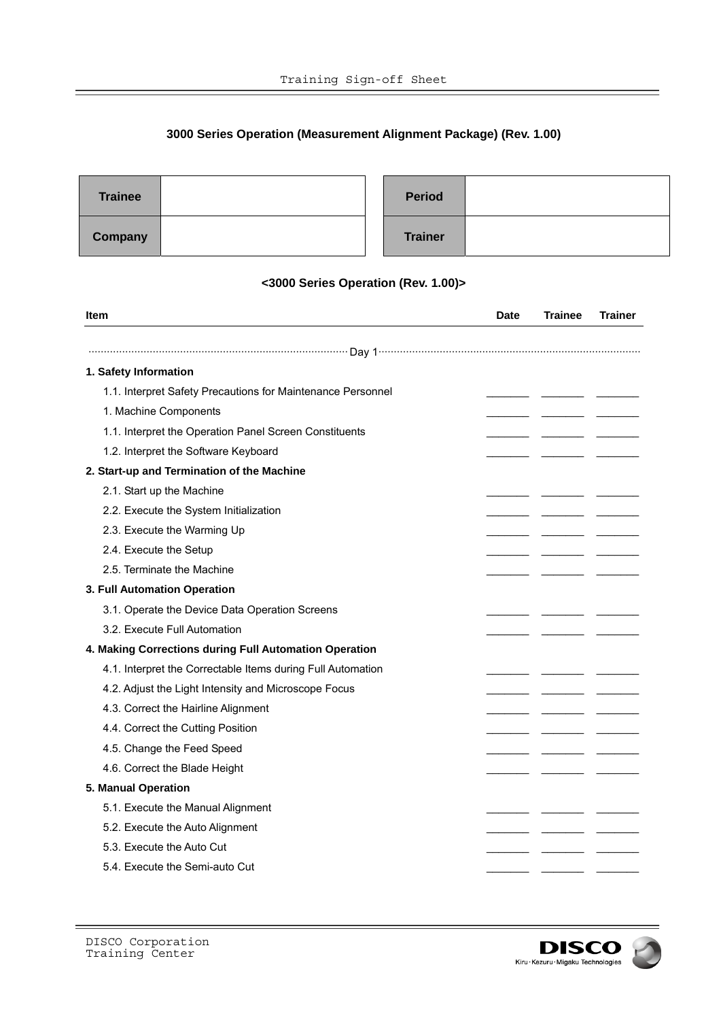## **3000 Series Operation (Measurement Alignment Package) (Rev. 1.00)**

| <b>Trainee</b> |  | <b>Period</b>  |  |
|----------------|--|----------------|--|
| <b>Company</b> |  | <b>Trainer</b> |  |

## **<3000 Series Operation (Rev. 1.00)>**

| Item                                                        | <b>Date</b> | <b>Trainee</b> | <b>Trainer</b> |
|-------------------------------------------------------------|-------------|----------------|----------------|
|                                                             |             |                |                |
| 1. Safety Information                                       |             |                |                |
| 1.1. Interpret Safety Precautions for Maintenance Personnel |             |                |                |
| 1. Machine Components                                       |             |                |                |
| 1.1. Interpret the Operation Panel Screen Constituents      |             |                |                |
| 1.2. Interpret the Software Keyboard                        |             |                |                |
| 2. Start-up and Termination of the Machine                  |             |                |                |
| 2.1. Start up the Machine                                   |             |                |                |
| 2.2. Execute the System Initialization                      |             |                |                |
| 2.3. Execute the Warming Up                                 |             |                |                |
| 2.4. Execute the Setup                                      |             |                |                |
| 2.5. Terminate the Machine                                  |             |                |                |
| 3. Full Automation Operation                                |             |                |                |
| 3.1. Operate the Device Data Operation Screens              |             |                |                |
| 3.2. Execute Full Automation                                |             |                |                |
| 4. Making Corrections during Full Automation Operation      |             |                |                |
| 4.1. Interpret the Correctable Items during Full Automation |             |                |                |
| 4.2. Adjust the Light Intensity and Microscope Focus        |             |                |                |
| 4.3. Correct the Hairline Alignment                         |             |                |                |
| 4.4. Correct the Cutting Position                           |             |                |                |
| 4.5. Change the Feed Speed                                  |             |                |                |
|                                                             |             |                |                |
| 4.6. Correct the Blade Height<br>5. Manual Operation        |             |                |                |
| 5.1. Execute the Manual Alignment                           |             |                |                |
|                                                             |             |                |                |
| 5.2. Execute the Auto Alignment                             |             |                |                |
| 5.3. Execute the Auto Cut                                   |             |                |                |
| 5.4. Execute the Semi-auto Cut                              |             |                |                |

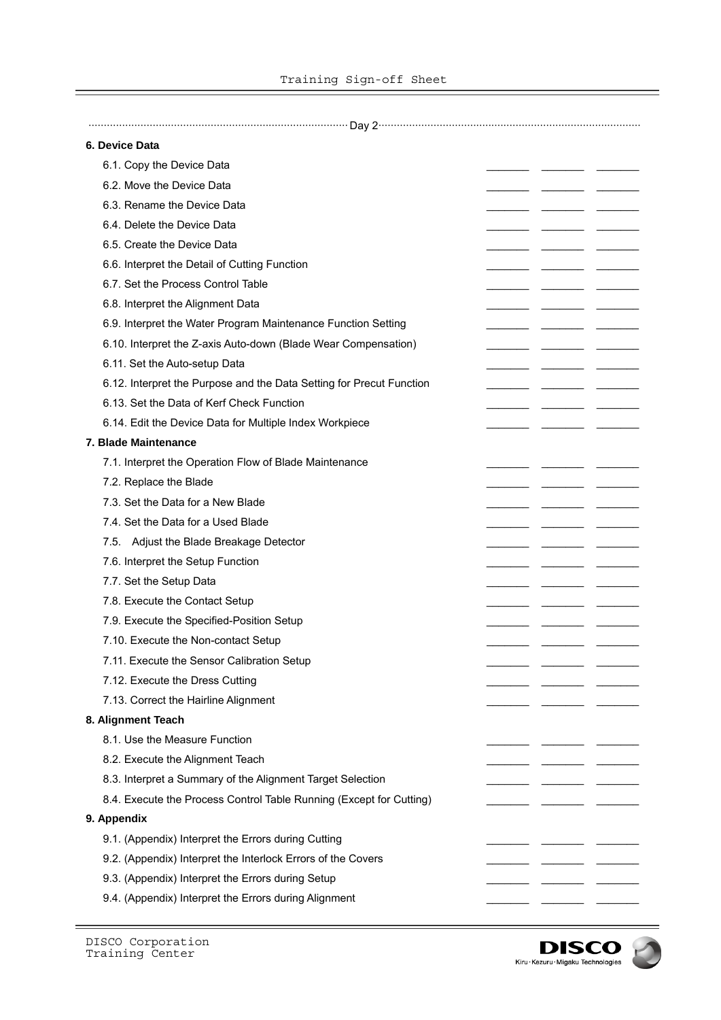$\Box$ 

| 6. Device Data                                                       |  |  |
|----------------------------------------------------------------------|--|--|
| 6.1. Copy the Device Data                                            |  |  |
| 6.2. Move the Device Data                                            |  |  |
| 6.3. Rename the Device Data                                          |  |  |
| 6.4. Delete the Device Data                                          |  |  |
| 6.5. Create the Device Data                                          |  |  |
| 6.6. Interpret the Detail of Cutting Function                        |  |  |
| 6.7. Set the Process Control Table                                   |  |  |
| 6.8. Interpret the Alignment Data                                    |  |  |
| 6.9. Interpret the Water Program Maintenance Function Setting        |  |  |
| 6.10. Interpret the Z-axis Auto-down (Blade Wear Compensation)       |  |  |
| 6.11. Set the Auto-setup Data                                        |  |  |
| 6.12. Interpret the Purpose and the Data Setting for Precut Function |  |  |
| 6.13. Set the Data of Kerf Check Function                            |  |  |
| 6.14. Edit the Device Data for Multiple Index Workpiece              |  |  |
| 7. Blade Maintenance                                                 |  |  |
| 7.1. Interpret the Operation Flow of Blade Maintenance               |  |  |
| 7.2. Replace the Blade                                               |  |  |
| 7.3. Set the Data for a New Blade                                    |  |  |
| 7.4. Set the Data for a Used Blade                                   |  |  |
| 7.5. Adjust the Blade Breakage Detector                              |  |  |
| 7.6. Interpret the Setup Function                                    |  |  |
| 7.7. Set the Setup Data                                              |  |  |
| 7.8. Execute the Contact Setup                                       |  |  |
| 7.9. Execute the Specified-Position Setup                            |  |  |
| 7.10. Execute the Non-contact Setup                                  |  |  |
| 7.11. Execute the Sensor Calibration Setup                           |  |  |
| 7.12. Execute the Dress Cutting                                      |  |  |
| 7.13. Correct the Hairline Alignment                                 |  |  |
| 8. Alignment Teach                                                   |  |  |
| 8.1. Use the Measure Function                                        |  |  |
| 8.2. Execute the Alignment Teach                                     |  |  |
| 8.3. Interpret a Summary of the Alignment Target Selection           |  |  |
| 8.4. Execute the Process Control Table Running (Except for Cutting)  |  |  |
| 9. Appendix                                                          |  |  |
| 9.1. (Appendix) Interpret the Errors during Cutting                  |  |  |
| 9.2. (Appendix) Interpret the Interlock Errors of the Covers         |  |  |
| 9.3. (Appendix) Interpret the Errors during Setup                    |  |  |
| 9.4. (Appendix) Interpret the Errors during Alignment                |  |  |